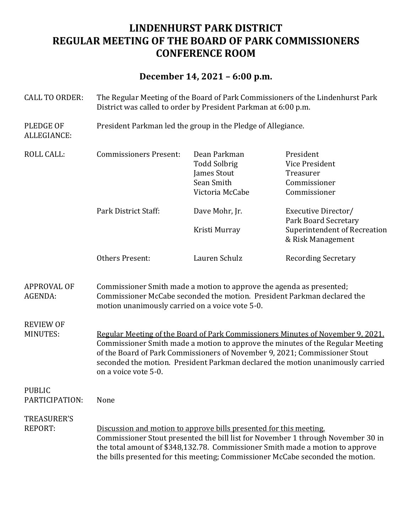# **LINDENHURST PARK DISTRICT REGULAR MEETING OF THE BOARD OF PARK COMMISSIONERS CONFERENCE ROOM**

## **December 14, 2021 – 6:00 p.m.**

CALL TO ORDER: The Regular Meeting of the Board of Park Commissioners of the Lindenhurst Park

District was called to order by President Parkman at 6:00 p.m. PLEDGE OF President Parkman led the group in the Pledge of Allegiance. ALLEGIANCE: ROLL CALL: Commissioners Present: Dean Parkman President Todd Solbrig Vice President **James Stout** Treasurer Sean Smith Commissioner Victoria McCabe Commissioner Park District Staff: Dave Mohr, Ir. Executive Director/ Park Board Secretary Kristi Murray Superintendent of Recreation & Risk Management Others Present: Lauren Schulz Recording Secretary APPROVAL OF Commissioner Smith made a motion to approve the agenda as presented; AGENDA: Commissioner McCabe seconded the motion. President Parkman declared the motion unanimously carried on a voice vote 5-0. REVIEW OF MINUTES: Regular Meeting of the Board of Park Commissioners Minutes of November 9, 2021. Commissioner Smith made a motion to approve the minutes of the Regular Meeting of the Board of Park Commissioners of November 9, 2021; Commissioner Stout seconded the motion. President Parkman declared the motion unanimously carried on a voice vote 5-0. PUBLIC PARTICIPATION: None TREASURER'S REPORT: Discussion and motion to approve bills presented for this meeting. Commissioner Stout presented the bill list for November 1 through November 30 in the total amount of \$348,132.78. Commissioner Smith made a motion to approve the bills presented for this meeting; Commissioner McCabe seconded the motion.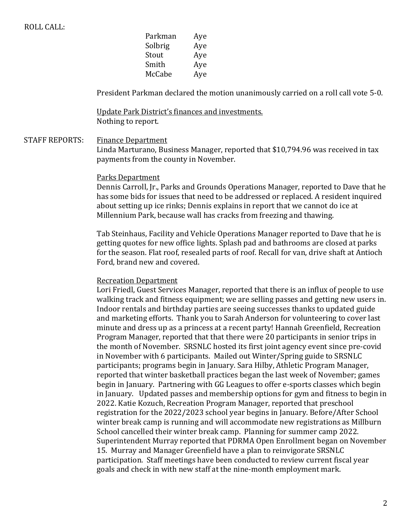| Parkman | Aye |
|---------|-----|
| Solbrig | Aye |
| Stout   | Aye |
| Smith   | Aye |
| McCabe  | Aye |
|         |     |

President Parkman declared the motion unanimously carried on a roll call vote 5-0.

Update Park District's finances and investments. Nothing to report.

STAFF REPORTS: Finance Department

Linda Marturano, Business Manager, reported that \$10,794.96 was received in tax payments from the county in November.

#### Parks Department

Dennis Carroll, Jr., Parks and Grounds Operations Manager, reported to Dave that he has some bids for issues that need to be addressed or replaced. A resident inquired about setting up ice rinks; Dennis explains in report that we cannot do ice at Millennium Park, because wall has cracks from freezing and thawing.

Tab Steinhaus, Facility and Vehicle Operations Manager reported to Dave that he is getting quotes for new office lights. Splash pad and bathrooms are closed at parks for the season. Flat roof, resealed parts of roof. Recall for van, drive shaft at Antioch Ford, brand new and covered.

#### Recreation Department

Lori Friedl, Guest Services Manager, reported that there is an influx of people to use walking track and fitness equipment; we are selling passes and getting new users in. Indoor rentals and birthday parties are seeing successes thanks to updated guide and marketing efforts. Thank you to Sarah Anderson for volunteering to cover last minute and dress up as a princess at a recent party! Hannah Greenfield, Recreation Program Manager, reported that that there were 20 participants in senior trips in the month of November. SRSNLC hosted its first joint agency event since pre-covid in November with 6 participants. Mailed out Winter/Spring guide to SRSNLC participants; programs begin in January. Sara Hilby, Athletic Program Manager, reported that winter basketball practices began the last week of November; games begin in January. Partnering with GG Leagues to offer e-sports classes which begin in January. Updated passes and membership options for gym and fitness to begin in 2022. Katie Kozuch, Recreation Program Manager, reported that preschool registration for the 2022/2023 school year begins in January. Before/After School winter break camp is running and will accommodate new registrations as Millburn School cancelled their winter break camp. Planning for summer camp 2022. Superintendent Murray reported that PDRMA Open Enrollment began on November 15. Murray and Manager Greenfield have a plan to reinvigorate SRSNLC participation. Staff meetings have been conducted to review current fiscal year goals and check in with new staff at the nine-month employment mark.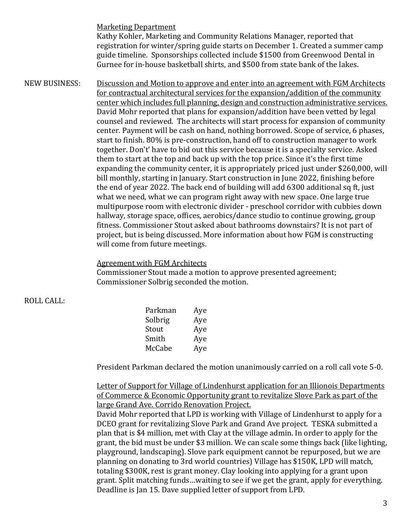**Marketing Department** 

Kathy Kohler, Marketing and Community Relations Manager, reported that registration for winter/spring guide starts on December 1. Created a summer camp guide timeline. Sponsorships collected include \$1500 from Greenwood Dental in Gurnee for in-house basketball shirts, and \$500 from state bank of the lakes.

NEW BUSINESS: Discussion and Motion to approve and enter into an agreement with FGM Architects for contractual architectural services for the expansion/addition of the community center which includes full planning, design and construction administrative services. David Mohr reported that plans for expansion/addition have been vetted by legal counsel and reviewed. The architects will start process for expansion of community center. Payment will be cash on hand, nothing borrowed. Scope of service, 6 phases, start to finish. 80% is pre-construction, hand off to construction manager to work together. Don't' have to bid out this service because it is a specialty service. Asked them to start at the top and back up with the top price. Since it's the first time expanding the community center, it is appropriately priced just under \$260,000, will bill monthly, starting in January. Start construction in June 2022, finishing before the end of year 2022. The back end of building will add 6300 additional sq ft, just what we need, what we can program right away with new space. One large true multipurpose room with electronic divider - preschool corridor with cubbies down hallway, storage space, offices, aerobics/dance studio to continue growing, group fitness. Commissioner Stout asked about bathrooms downstairs? It is not part of project, but is being discussed. More information about how FGM is constructing will come from future meetings.

### Agreement with FGM Architects

Commissioner Stout made a motion to approve presented agreement; Commissioner Solbrig seconded the motion.

### **ROLL CALL:**

| Parkman | Aye |
|---------|-----|
| Solbrig | Aye |
| Stout   | Aye |
| Smith   | Aye |
| McCabe  | Aye |

President Parkman declared the motion unanimously carried on a roll call vote 5-0.

Letter of Support for Village of Lindenhurst application for an Illionois Departments of Commerce & Economic Opportunity grant to revitalize Slove Park as part of the large Grand Ave. Corrido Renovation Project.

David Mohr reported that LPD is working with Village of Lindenhurst to apply for a DCEO grant for revitalizing Slove Park and Grand Ave project. TESKA submitted a plan that is \$4 million, met with Clay at the village admin. In order to apply for the grant, the bid must be under \$3 million. We can scale some things back (like lighting, playground, landscaping). Slove park equipment cannot be repurposed, but we are planning on donating to 3rd world countries) Village has \$150K, LPD will match, totaling \$300K, rest is grant money. Clay looking into applying for a grant upon grant. Split matching funds...waiting to see if we get the grant, apply for everything. Deadline is Jan 15. Dave supplied letter of support from LPD.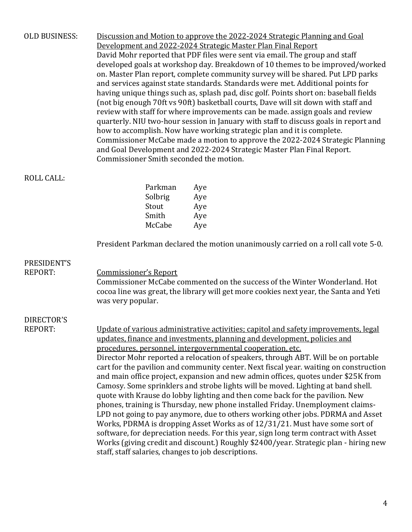| <b>OLD BUSINESS:</b>         | Discussion and Motion to approve the 2022-2024 Strategic Planning and Goal<br>Development and 2022-2024 Strategic Master Plan Final Report<br>David Mohr reported that PDF files were sent via email. The group and staff<br>developed goals at workshop day. Breakdown of 10 themes to be improved/worked<br>on. Master Plan report, complete community survey will be shared. Put LPD parks<br>and services against state standards. Standards were met. Additional points for<br>having unique things such as, splash pad, disc golf. Points short on: baseball fields<br>(not big enough 70ft vs 90ft) basketball courts, Dave will sit down with staff and<br>review with staff for where improvements can be made. assign goals and review<br>quarterly. NIU two-hour session in January with staff to discuss goals in report and<br>how to accomplish. Now have working strategic plan and it is complete.<br>Commissioner McCabe made a motion to approve the 2022-2024 Strategic Planning<br>and Goal Development and 2022-2024 Strategic Master Plan Final Report.<br>Commissioner Smith seconded the motion. |  |  |
|------------------------------|--------------------------------------------------------------------------------------------------------------------------------------------------------------------------------------------------------------------------------------------------------------------------------------------------------------------------------------------------------------------------------------------------------------------------------------------------------------------------------------------------------------------------------------------------------------------------------------------------------------------------------------------------------------------------------------------------------------------------------------------------------------------------------------------------------------------------------------------------------------------------------------------------------------------------------------------------------------------------------------------------------------------------------------------------------------------------------------------------------------------------|--|--|
| <b>ROLL CALL:</b>            |                                                                                                                                                                                                                                                                                                                                                                                                                                                                                                                                                                                                                                                                                                                                                                                                                                                                                                                                                                                                                                                                                                                          |  |  |
|                              | Parkman<br>Aye                                                                                                                                                                                                                                                                                                                                                                                                                                                                                                                                                                                                                                                                                                                                                                                                                                                                                                                                                                                                                                                                                                           |  |  |
|                              | Solbrig<br>Aye                                                                                                                                                                                                                                                                                                                                                                                                                                                                                                                                                                                                                                                                                                                                                                                                                                                                                                                                                                                                                                                                                                           |  |  |
|                              | Stout<br>Aye                                                                                                                                                                                                                                                                                                                                                                                                                                                                                                                                                                                                                                                                                                                                                                                                                                                                                                                                                                                                                                                                                                             |  |  |
|                              | Smith<br>Aye                                                                                                                                                                                                                                                                                                                                                                                                                                                                                                                                                                                                                                                                                                                                                                                                                                                                                                                                                                                                                                                                                                             |  |  |
|                              | McCabe<br>Aye                                                                                                                                                                                                                                                                                                                                                                                                                                                                                                                                                                                                                                                                                                                                                                                                                                                                                                                                                                                                                                                                                                            |  |  |
|                              | President Parkman declared the motion unanimously carried on a roll call vote 5-0.                                                                                                                                                                                                                                                                                                                                                                                                                                                                                                                                                                                                                                                                                                                                                                                                                                                                                                                                                                                                                                       |  |  |
| PRESIDENT'S                  |                                                                                                                                                                                                                                                                                                                                                                                                                                                                                                                                                                                                                                                                                                                                                                                                                                                                                                                                                                                                                                                                                                                          |  |  |
| <b>REPORT:</b>               | <b>Commissioner's Report</b>                                                                                                                                                                                                                                                                                                                                                                                                                                                                                                                                                                                                                                                                                                                                                                                                                                                                                                                                                                                                                                                                                             |  |  |
|                              | Commissioner McCabe commented on the success of the Winter Wonderland. Hot<br>cocoa line was great, the library will get more cookies next year, the Santa and Yeti<br>was very popular.                                                                                                                                                                                                                                                                                                                                                                                                                                                                                                                                                                                                                                                                                                                                                                                                                                                                                                                                 |  |  |
|                              |                                                                                                                                                                                                                                                                                                                                                                                                                                                                                                                                                                                                                                                                                                                                                                                                                                                                                                                                                                                                                                                                                                                          |  |  |
| DIRECTOR'S<br><b>REPORT:</b> | Update of various administrative activities; capitol and safety improvements, legal<br>updates, finance and investments, planning and development, policies and<br>procedures, personnel, intergovernmental cooperation, etc.<br>Director Mohr reported a relocation of speakers, through ABT. Will be on portable<br>cart for the pavilion and community center. Next fiscal year. waiting on construction<br>and main office project, expansion and new admin offices, quotes under \$25K from<br>Camosy. Some sprinklers and strobe lights will be moved. Lighting at band shell.<br>quote with Krause do lobby lighting and then come back for the pavilion. New<br>phones, training is Thursday, new phone installed Friday. Unemployment claims-<br>LPD not going to pay anymore, due to others working other jobs. PDRMA and Asset                                                                                                                                                                                                                                                                                |  |  |

Works, PDRMA is dropping Asset Works as of 12/31/21. Must have some sort of software, for depreciation needs. For this year, sign long term contract with Asset works (giving credit and discount.) Roughly \$2400/year. Strategic plan - hiring new staff, staff salaries, changes to job descriptions.